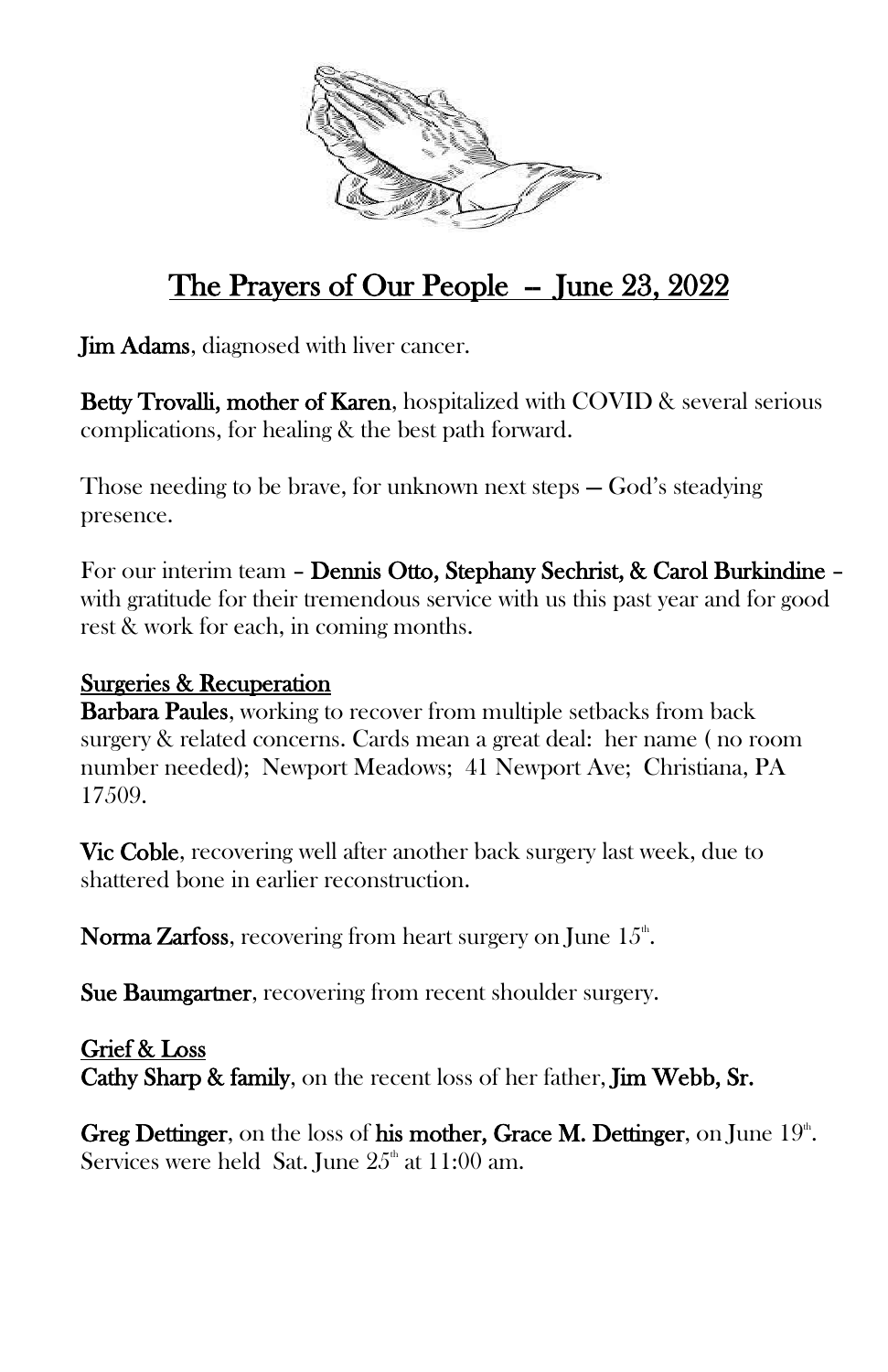

## The Prayers of Our People - June 23, 2022

Jim Adams, diagnosed with liver cancer.

Betty Trovalli, mother of Karen, hospitalized with COVID & several serious complications, for healing & the best path forward.

Those needing to be brave, for unknown next steps — God's steadying presence.

For our interim team – Dennis Otto, Stephany Sechrist, & Carol Burkindine – with gratitude for their tremendous service with us this past year and for good rest & work for each, in coming months.

## Surgeries & Recuperation

**Barbara Paules**, working to recover from multiple setbacks from back surgery & related concerns. Cards mean a great deal: her name ( no room number needed); Newport Meadows; 41 Newport Ave; Christiana, PA 17509.

Vic Coble, recovering well after another back surgery last week, due to shattered bone in earlier reconstruction.

**Norma Zarfoss**, recovering from heart surgery on June  $15<sup>th</sup>$ .

Sue Baumgartner, recovering from recent shoulder surgery.

Grief & Loss Cathy Sharp & family, on the recent loss of her father, Jim Webb, Sr.

Greg Dettinger, on the loss of his mother, Grace M. Dettinger, on June  $19^{\circ}$ . Services were held Sat. June  $25<sup>th</sup>$  at 11:00 am.